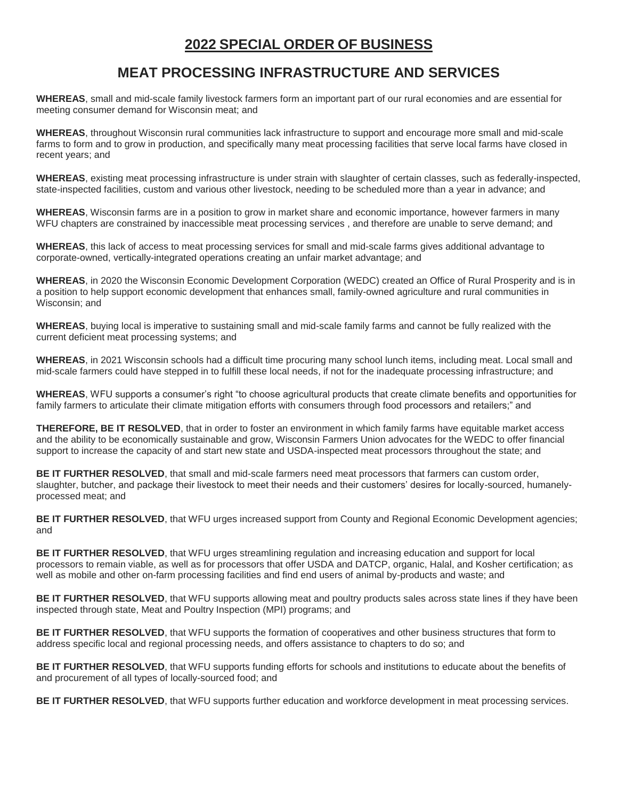#### **MEAT PROCESSING INFRASTRUCTURE AND SERVICES**

**WHEREAS**, small and mid-scale family livestock farmers form an important part of our rural economies and are essential for meeting consumer demand for Wisconsin meat; and

**WHEREAS**, throughout Wisconsin rural communities lack infrastructure to support and encourage more small and mid-scale farms to form and to grow in production, and specifically many meat processing facilities that serve local farms have closed in recent years; and

**WHEREAS**, existing meat processing infrastructure is under strain with slaughter of certain classes, such as federally-inspected, state-inspected facilities, custom and various other livestock, needing to be scheduled more than a year in advance; and

**WHEREAS**, Wisconsin farms are in a position to grow in market share and economic importance, however farmers in many WFU chapters are constrained by inaccessible meat processing services, and therefore are unable to serve demand; and

**WHEREAS**, this lack of access to meat processing services for small and mid-scale farms gives additional advantage to corporate-owned, vertically-integrated operations creating an unfair market advantage; and

**WHEREAS**, in 2020 the Wisconsin Economic Development Corporation (WEDC) created an Office of Rural Prosperity and is in a position to help support economic development that enhances small, family-owned agriculture and rural communities in Wisconsin; and

**WHEREAS**, buying local is imperative to sustaining small and mid-scale family farms and cannot be fully realized with the current deficient meat processing systems; and

**WHEREAS**, in 2021 Wisconsin schools had a difficult time procuring many school lunch items, including meat. Local small and mid-scale farmers could have stepped in to fulfill these local needs, if not for the inadequate processing infrastructure; and

**WHEREAS**, WFU supports a consumer's right "to choose agricultural products that create climate benefits and opportunities for family farmers to articulate their climate mitigation efforts with consumers through food processors and retailers;" and

**THEREFORE, BE IT RESOLVED**, that in order to foster an environment in which family farms have equitable market access and the ability to be economically sustainable and grow, Wisconsin Farmers Union advocates for the WEDC to offer financial support to increase the capacity of and start new state and USDA-inspected meat processors throughout the state; and

**BE IT FURTHER RESOLVED**, that small and mid-scale farmers need meat processors that farmers can custom order, slaughter, butcher, and package their livestock to meet their needs and their customers' desires for locally-sourced, humanelyprocessed meat; and

**BE IT FURTHER RESOLVED**, that WFU urges increased support from County and Regional Economic Development agencies; and

**BE IT FURTHER RESOLVED**, that WFU urges streamlining regulation and increasing education and support for local processors to remain viable, as well as for processors that offer USDA and DATCP, organic, Halal, and Kosher certification; as well as mobile and other on-farm processing facilities and find end users of animal by-products and waste; and

**BE IT FURTHER RESOLVED**, that WFU supports allowing meat and poultry products sales across state lines if they have been inspected through state, Meat and Poultry Inspection (MPI) programs; and

**BE IT FURTHER RESOLVED**, that WFU supports the formation of cooperatives and other business structures that form to address specific local and regional processing needs, and offers assistance to chapters to do so; and

**BE IT FURTHER RESOLVED**, that WFU supports funding efforts for schools and institutions to educate about the benefits of and procurement of all types of locally-sourced food; and

**BE IT FURTHER RESOLVED**, that WFU supports further education and workforce development in meat processing services.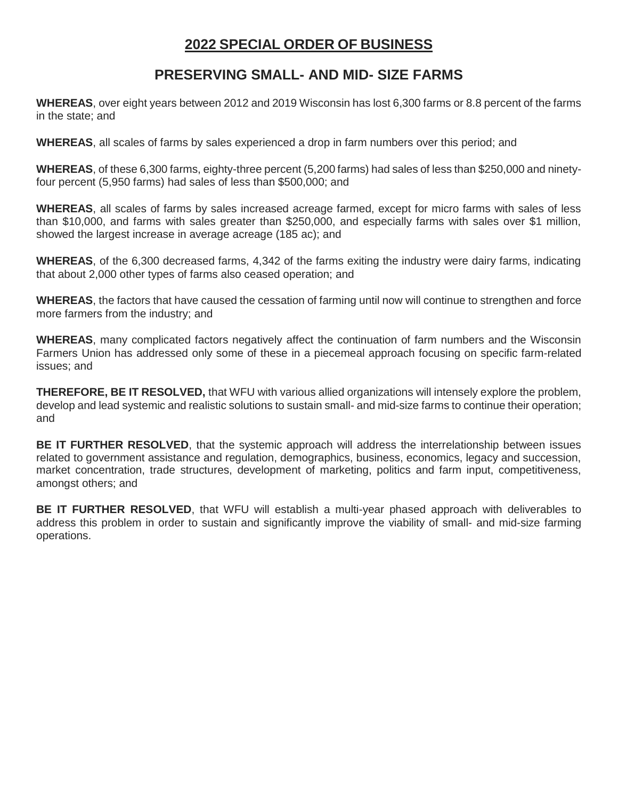### **PRESERVING SMALL- AND MID- SIZE FARMS**

**WHEREAS**, over eight years between 2012 and 2019 Wisconsin has lost 6,300 farms or 8.8 percent of the farms in the state; and

**WHEREAS**, all scales of farms by sales experienced a drop in farm numbers over this period; and

**WHEREAS**, of these 6,300 farms, eighty-three percent (5,200 farms) had sales of less than \$250,000 and ninetyfour percent (5,950 farms) had sales of less than \$500,000; and

**WHEREAS**, all scales of farms by sales increased acreage farmed, except for micro farms with sales of less than \$10,000, and farms with sales greater than \$250,000, and especially farms with sales over \$1 million, showed the largest increase in average acreage (185 ac); and

**WHEREAS**, of the 6,300 decreased farms, 4,342 of the farms exiting the industry were dairy farms, indicating that about 2,000 other types of farms also ceased operation; and

**WHEREAS**, the factors that have caused the cessation of farming until now will continue to strengthen and force more farmers from the industry; and

**WHEREAS**, many complicated factors negatively affect the continuation of farm numbers and the Wisconsin Farmers Union has addressed only some of these in a piecemeal approach focusing on specific farm-related issues; and

**THEREFORE, BE IT RESOLVED,** that WFU with various allied organizations will intensely explore the problem, develop and lead systemic and realistic solutions to sustain small- and mid-size farms to continue their operation; and

**BE IT FURTHER RESOLVED**, that the systemic approach will address the interrelationship between issues related to government assistance and regulation, demographics, business, economics, legacy and succession, market concentration, trade structures, development of marketing, politics and farm input, competitiveness, amongst others; and

**BE IT FURTHER RESOLVED**, that WFU will establish a multi-year phased approach with deliverables to address this problem in order to sustain and significantly improve the viability of small- and mid-size farming operations.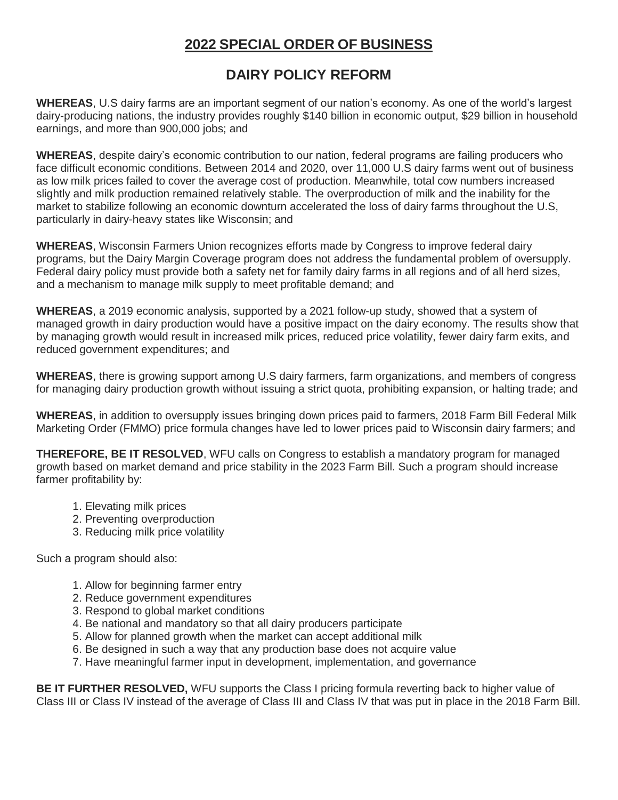# **DAIRY POLICY REFORM**

**WHEREAS**, U.S dairy farms are an important segment of our nation's economy. As one of the world's largest dairy-producing nations, the industry provides roughly \$140 billion in economic output, \$29 billion in household earnings, and more than 900,000 jobs; and

**WHEREAS**, despite dairy's economic contribution to our nation, federal programs are failing producers who face difficult economic conditions. Between 2014 and 2020, over 11,000 U.S dairy farms went out of business as low milk prices failed to cover the average cost of production. Meanwhile, total cow numbers increased slightly and milk production remained relatively stable. The overproduction of milk and the inability for the market to stabilize following an economic downturn accelerated the loss of dairy farms throughout the U.S, particularly in dairy-heavy states like Wisconsin; and

**WHEREAS**, Wisconsin Farmers Union recognizes efforts made by Congress to improve federal dairy programs, but the Dairy Margin Coverage program does not address the fundamental problem of oversupply. Federal dairy policy must provide both a safety net for family dairy farms in all regions and of all herd sizes, and a mechanism to manage milk supply to meet profitable demand; and

**WHEREAS**, a 2019 economic analysis, supported by a 2021 follow-up study, showed that a system of managed growth in dairy production would have a positive impact on the dairy economy. The results show that by managing growth would result in increased milk prices, reduced price volatility, fewer dairy farm exits, and reduced government expenditures; and

**WHEREAS**, there is growing support among U.S dairy farmers, farm organizations, and members of congress for managing dairy production growth without issuing a strict quota, prohibiting expansion, or halting trade; and

**WHEREAS**, in addition to oversupply issues bringing down prices paid to farmers, 2018 Farm Bill Federal Milk Marketing Order (FMMO) price formula changes have led to lower prices paid to Wisconsin dairy farmers; and

**THEREFORE, BE IT RESOLVED**, WFU calls on Congress to establish a mandatory program for managed growth based on market demand and price stability in the 2023 Farm Bill. Such a program should increase farmer profitability by:

- 1. Elevating milk prices
- 2. Preventing overproduction
- 3. Reducing milk price volatility

Such a program should also:

- 1. Allow for beginning farmer entry
- 2. Reduce government expenditures
- 3. Respond to global market conditions
- 4. Be national and mandatory so that all dairy producers participate
- 5. Allow for planned growth when the market can accept additional milk
- 6. Be designed in such a way that any production base does not acquire value
- 7. Have meaningful farmer input in development, implementation, and governance

**BE IT FURTHER RESOLVED,** WFU supports the Class I pricing formula reverting back to higher value of Class III or Class IV instead of the average of Class III and Class IV that was put in place in the 2018 Farm Bill.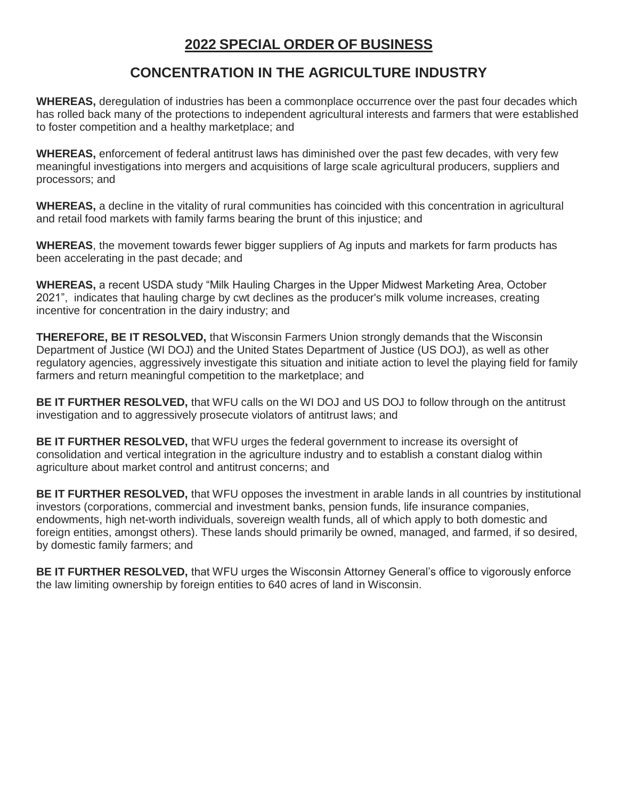### **CONCENTRATION IN THE AGRICULTURE INDUSTRY**

**WHEREAS,** deregulation of industries has been a commonplace occurrence over the past four decades which has rolled back many of the protections to independent agricultural interests and farmers that were established to foster competition and a healthy marketplace; and

**WHEREAS,** enforcement of federal antitrust laws has diminished over the past few decades, with very few meaningful investigations into mergers and acquisitions of large scale agricultural producers, suppliers and processors; and

**WHEREAS,** a decline in the vitality of rural communities has coincided with this concentration in agricultural and retail food markets with family farms bearing the brunt of this injustice; and

**WHEREAS**, the movement towards fewer bigger suppliers of Ag inputs and markets for farm products has been accelerating in the past decade; and

**WHEREAS,** a recent USDA study "Milk Hauling Charges in the Upper Midwest Marketing Area, October 2021", indicates that hauling charge by cwt declines as the producer's milk volume increases, creating incentive for concentration in the dairy industry; and

**THEREFORE, BE IT RESOLVED,** that Wisconsin Farmers Union strongly demands that the Wisconsin Department of Justice (WI DOJ) and the United States Department of Justice (US DOJ), as well as other regulatory agencies, aggressively investigate this situation and initiate action to level the playing field for family farmers and return meaningful competition to the marketplace; and

**BE IT FURTHER RESOLVED,** that WFU calls on the WI DOJ and US DOJ to follow through on the antitrust investigation and to aggressively prosecute violators of antitrust laws; and

**BE IT FURTHER RESOLVED,** that WFU urges the federal government to increase its oversight of consolidation and vertical integration in the agriculture industry and to establish a constant dialog within agriculture about market control and antitrust concerns; and

**BE IT FURTHER RESOLVED,** that WFU opposes the investment in arable lands in all countries by institutional investors (corporations, commercial and investment banks, pension funds, life insurance companies, endowments, high net-worth individuals, sovereign wealth funds, all of which apply to both domestic and foreign entities, amongst others). These lands should primarily be owned, managed, and farmed, if so desired, by domestic family farmers; and

**BE IT FURTHER RESOLVED,** that WFU urges the Wisconsin Attorney General's office to vigorously enforce the law limiting ownership by foreign entities to 640 acres of land in Wisconsin.